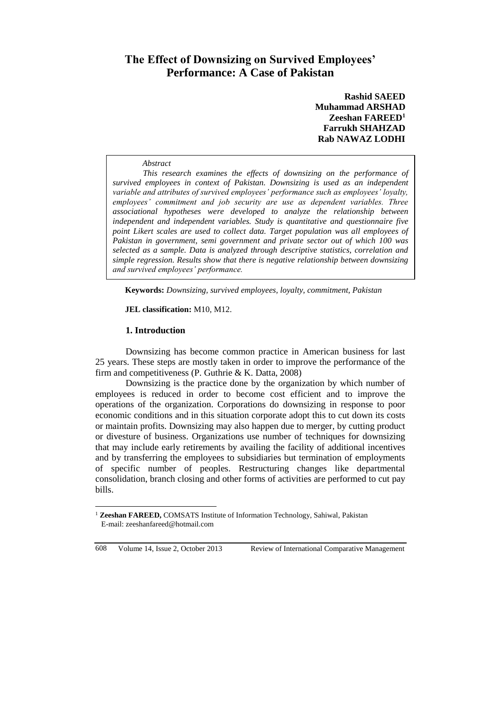# **The Effect of Downsizing on Survived Employees' Performance: A Case of Pakistan**

**Rashid SAEED Muhammad ARSHAD Zeeshan FAREED<sup>1</sup> Farrukh SHAHZAD Rab NAWAZ LODHI**

#### *Abstract*

*This research examines the effects of downsizing on the performance of survived employees in context of Pakistan. Downsizing is used as an independent variable and attributes of survived employees' performance such as employees' loyalty, employees' commitment and job security are use as dependent variables. Three associational hypotheses were developed to analyze the relationship between independent and independent variables. Study is quantitative and questionnaire five point Likert scales are used to collect data. Target population was all employees of Pakistan in government, semi government and private sector out of which 100 was selected as a sample. Data is analyzed through descriptive statistics, correlation and simple regression. Results show that there is negative relationship between downsizing and survived employees' performance.*

**Keywords:** *Downsizing, survived employees, loyalty, commitment, Pakistan*

**JEL classification:** M10, M12.

#### **1. Introduction**

Downsizing has become common practice in American business for last 25 years. These steps are mostly taken in order to improve the performance of the firm and competitiveness (P. Guthrie & K. Datta, 2008)

Downsizing is the practice done by the organization by which number of employees is reduced in order to become cost efficient and to improve the operations of the organization. Corporations do downsizing in response to poor economic conditions and in this situation corporate adopt this to cut down its costs or maintain profits. Downsizing may also happen due to merger, by cutting product or divesture of business. Organizations use number of techniques for downsizing that may include early retirements by availing the facility of additional incentives and by transferring the employees to subsidiaries but termination of employments of specific number of peoples. Restructuring changes like departmental consolidation, branch closing and other forms of activities are performed to cut pay bills.

 $\overline{a}$ 

<sup>&</sup>lt;sup>1</sup> Zeeshan FAREED, COMSATS Institute of Information Technology, Sahiwal, Pakistan E-mail: zeeshanfareed@hotmail.com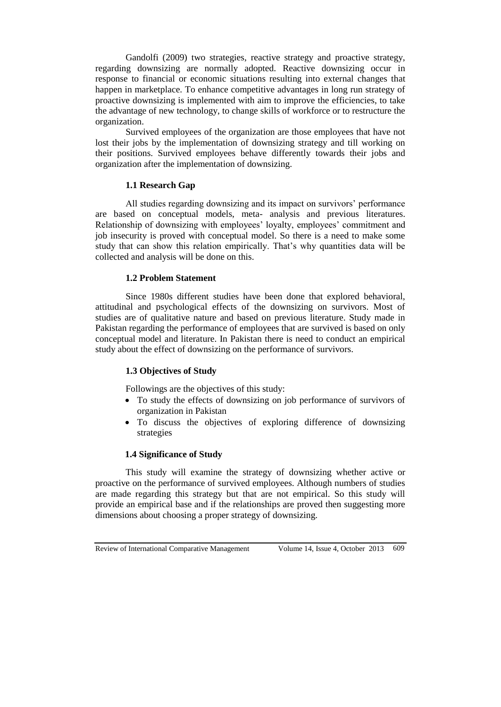Gandolfi (2009) two strategies, reactive strategy and proactive strategy, regarding downsizing are normally adopted. Reactive downsizing occur in response to financial or economic situations resulting into external changes that happen in marketplace. To enhance competitive advantages in long run strategy of proactive downsizing is implemented with aim to improve the efficiencies, to take the advantage of new technology, to change skills of workforce or to restructure the organization.

Survived employees of the organization are those employees that have not lost their jobs by the implementation of downsizing strategy and till working on their positions. Survived employees behave differently towards their jobs and organization after the implementation of downsizing.

# **1.1 Research Gap**

All studies regarding downsizing and its impact on survivors' performance are based on conceptual models, meta- analysis and previous literatures. Relationship of downsizing with employees' loyalty, employees' commitment and job insecurity is proved with conceptual model. So there is a need to make some study that can show this relation empirically. That's why quantities data will be collected and analysis will be done on this.

# **1.2 Problem Statement**

Since 1980s different studies have been done that explored behavioral, attitudinal and psychological effects of the downsizing on survivors. Most of studies are of qualitative nature and based on previous literature. Study made in Pakistan regarding the performance of employees that are survived is based on only conceptual model and literature. In Pakistan there is need to conduct an empirical study about the effect of downsizing on the performance of survivors.

# **1.3 Objectives of Study**

Followings are the objectives of this study:

- To study the effects of downsizing on job performance of survivors of organization in Pakistan
- To discuss the objectives of exploring difference of downsizing strategies

### **1.4 Significance of Study**

This study will examine the strategy of downsizing whether active or proactive on the performance of survived employees. Although numbers of studies are made regarding this strategy but that are not empirical. So this study will provide an empirical base and if the relationships are proved then suggesting more dimensions about choosing a proper strategy of downsizing.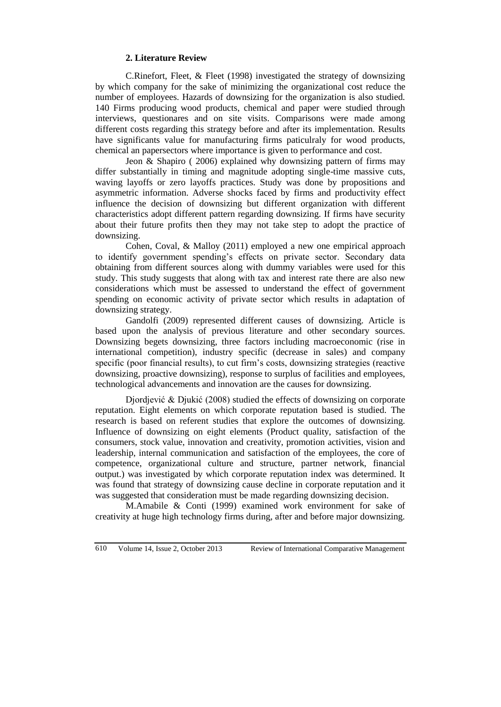#### **2. Literature Review**

C.Rinefort, Fleet, & Fleet (1998) investigated the strategy of downsizing by which company for the sake of minimizing the organizational cost reduce the number of employees. Hazards of downsizing for the organization is also studied. 140 Firms producing wood products, chemical and paper were studied through interviews, questionares and on site visits. Comparisons were made among different costs regarding this strategy before and after its implementation. Results have significants value for manufacturing firms paticulraly for wood products, chemical an papersectors where importance is given to performance and cost.

Jeon  $\&$  Shapiro ( 2006) explained why downsizing pattern of firms may differ substantially in timing and magnitude adopting single-time massive cuts, waving layoffs or zero layoffs practices. Study was done by propositions and asymmetric information. Adverse shocks faced by firms and productivity effect influence the decision of downsizing but different organization with different characteristics adopt different pattern regarding downsizing. If firms have security about their future profits then they may not take step to adopt the practice of downsizing.

Cohen, Coval, & Malloy (2011) employed a new one empirical approach to identify government spending's effects on private sector. Secondary data obtaining from different sources along with dummy variables were used for this study. This study suggests that along with tax and interest rate there are also new considerations which must be assessed to understand the effect of government spending on economic activity of private sector which results in adaptation of downsizing strategy.

Gandolfi (2009) represented different causes of downsizing. Article is based upon the analysis of previous literature and other secondary sources. Downsizing begets downsizing, three factors including macroeconomic (rise in international competition), industry specific (decrease in sales) and company specific (poor financial results), to cut firm's costs, downsizing strategies (reactive downsizing, proactive downsizing), response to surplus of facilities and employees, technological advancements and innovation are the causes for downsizing.

Djordjević & Djukić (2008) studied the effects of downsizing on corporate reputation. Eight elements on which corporate reputation based is studied. The research is based on referent studies that explore the outcomes of downsizing. Influence of downsizing on eight elements (Product quality, satisfaction of the consumers, stock value, innovation and creativity, promotion activities, vision and leadership, internal communication and satisfaction of the employees, the core of competence, organizational culture and structure, partner network, financial output.) was investigated by which corporate reputation index was determined. It was found that strategy of downsizing cause decline in corporate reputation and it was suggested that consideration must be made regarding downsizing decision.

M.Amabile & Conti (1999) examined work environment for sake of creativity at huge high technology firms during, after and before major downsizing.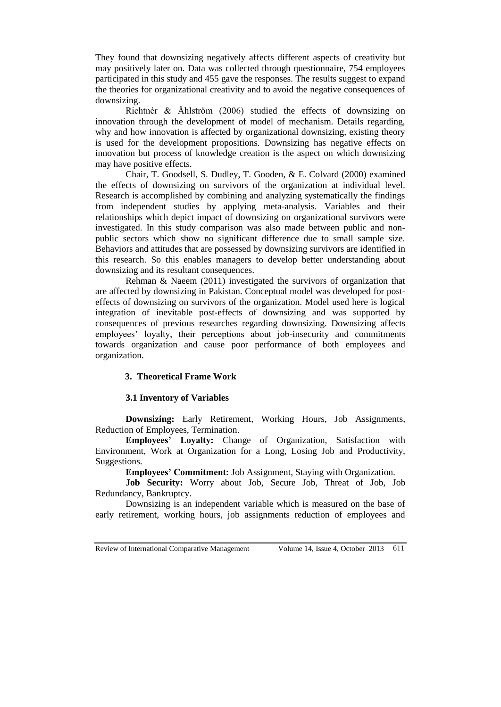They found that downsizing negatively affects different aspects of creativity but may positively later on. Data was collected through questionnaire, 754 employees participated in this study and 455 gave the responses. The results suggest to expand the theories for organizational creativity and to avoid the negative consequences of downsizing.

Richtnér & Åhlström (2006) studied the effects of downsizing on innovation through the development of model of mechanism. Details regarding, why and how innovation is affected by organizational downsizing, existing theory is used for the development propositions. Downsizing has negative effects on innovation but process of knowledge creation is the aspect on which downsizing may have positive effects.

Chair, T. Goodsell, S. Dudley, T. Gooden, & E. Colvard (2000) examined the effects of downsizing on survivors of the organization at individual level. Research is accomplished by combining and analyzing systematically the findings from independent studies by applying meta-analysis. Variables and their relationships which depict impact of downsizing on organizational survivors were investigated. In this study comparison was also made between public and nonpublic sectors which show no significant difference due to small sample size. Behaviors and attitudes that are possessed by downsizing survivors are identified in this research. So this enables managers to develop better understanding about downsizing and its resultant consequences.

Rehman & Naeem (2011) investigated the survivors of organization that are affected by downsizing in Pakistan. Conceptual model was developed for posteffects of downsizing on survivors of the organization. Model used here is logical integration of inevitable post-effects of downsizing and was supported by consequences of previous researches regarding downsizing. Downsizing affects employees' loyalty, their perceptions about job-insecurity and commitments towards organization and cause poor performance of both employees and organization.

### **3. Theoretical Frame Work**

#### **3.1 Inventory of Variables**

**Downsizing:** Early Retirement, Working Hours, Job Assignments, Reduction of Employees, Termination.

**Employees' Loyalty:** Change of Organization, Satisfaction with Environment, Work at Organization for a Long, Losing Job and Productivity, Suggestions.

**Employees' Commitment:** Job Assignment, Staying with Organization.

**Job Security:** Worry about Job, Secure Job, Threat of Job, Job Redundancy, Bankruptcy.

Downsizing is an independent variable which is measured on the base of early retirement, working hours, job assignments reduction of employees and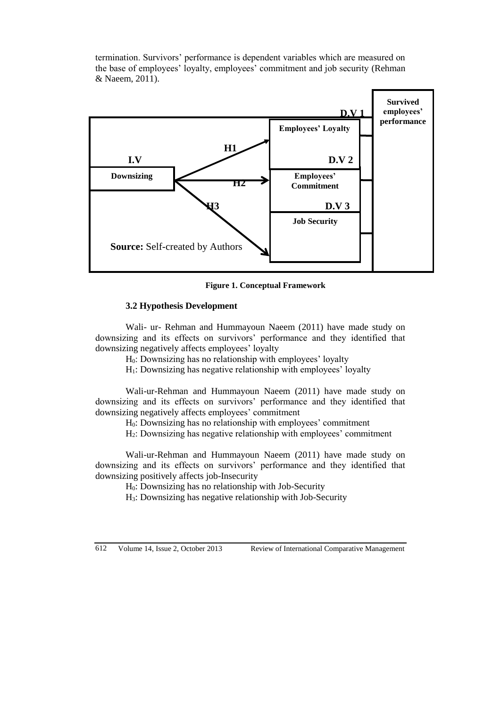termination. Survivors' performance is dependent variables which are measured on the base of employees' loyalty, employees' commitment and job security (Rehman & Naeem, 2011).



**Figure 1. Conceptual Framework**

### **3.2 Hypothesis Development**

Wali- ur- Rehman and Hummayoun Naeem (2011) have made study on downsizing and its effects on survivors' performance and they identified that downsizing negatively affects employees' loyalty

H0: Downsizing has no relationship with employees' loyalty

H1: Downsizing has negative relationship with employees' loyalty

Wali-ur-Rehman and Hummayoun Naeem (2011) have made study on downsizing and its effects on survivors' performance and they identified that downsizing negatively affects employees' commitment

H0: Downsizing has no relationship with employees' commitment

H2: Downsizing has negative relationship with employees' commitment

Wali-ur-Rehman and Hummayoun Naeem (2011) have made study on downsizing and its effects on survivors' performance and they identified that downsizing positively affects job-Insecurity

H0: Downsizing has no relationship with Job-Security

H3: Downsizing has negative relationship with Job-Security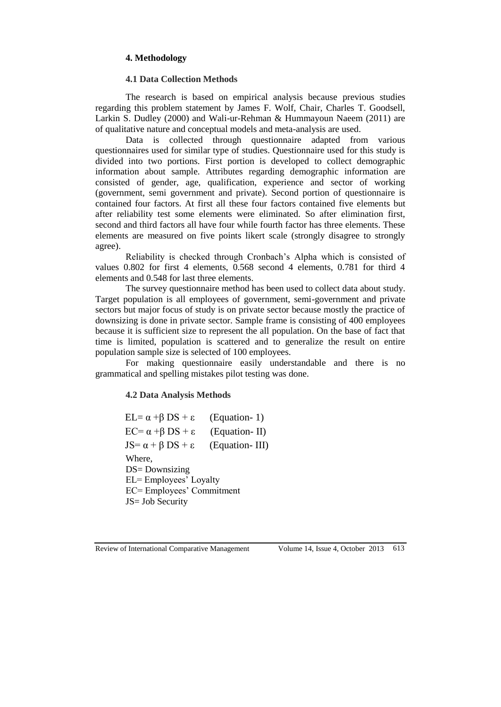### **4. Methodology**

#### **4.1 Data Collection Methods**

The research is based on empirical analysis because previous studies regarding this problem statement by James F. Wolf, Chair, Charles T. Goodsell, Larkin S. Dudley (2000) and Wali-ur-Rehman & Hummayoun Naeem (2011) are of qualitative nature and conceptual models and meta-analysis are used.

Data is collected through questionnaire adapted from various questionnaires used for similar type of studies. Questionnaire used for this study is divided into two portions. First portion is developed to collect demographic information about sample. Attributes regarding demographic information are consisted of gender, age, qualification, experience and sector of working (government, semi government and private). Second portion of questionnaire is contained four factors. At first all these four factors contained five elements but after reliability test some elements were eliminated. So after elimination first, second and third factors all have four while fourth factor has three elements. These elements are measured on five points likert scale (strongly disagree to strongly agree).

Reliability is checked through Cronbach's Alpha which is consisted of values 0.802 for first 4 elements, 0.568 second 4 elements, 0.781 for third 4 elements and 0.548 for last three elements.

The survey questionnaire method has been used to collect data about study. Target population is all employees of government, semi-government and private sectors but major focus of study is on private sector because mostly the practice of downsizing is done in private sector. Sample frame is consisting of 400 employees because it is sufficient size to represent the all population. On the base of fact that time is limited, population is scattered and to generalize the result on entire population sample size is selected of 100 employees.

For making questionnaire easily understandable and there is no grammatical and spelling mistakes pilot testing was done.

### **4.2 Data Analysis Methods**

EL=  $\alpha$  +β DS + ε (Equation- 1) EC=  $\alpha$  +β DS + ε (Equation- II) JS=  $\alpha$  + β DS + ε (Equation- III) Where, DS= Downsizing EL= Employees' Loyalty EC= Employees' Commitment JS= Job Security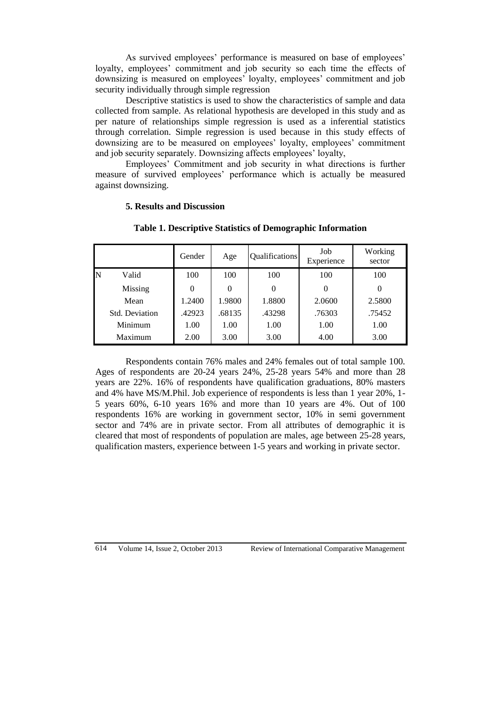As survived employees' performance is measured on base of employees' loyalty, employees' commitment and job security so each time the effects of downsizing is measured on employees' loyalty, employees' commitment and job security individually through simple regression

Descriptive statistics is used to show the characteristics of sample and data collected from sample. As relational hypothesis are developed in this study and as per nature of relationships simple regression is used as a inferential statistics through correlation. Simple regression is used because in this study effects of downsizing are to be measured on employees' loyalty, employees' commitment and job security separately. Downsizing affects employees' loyalty,

Employees' Commitment and job security in what directions is further measure of survived employees' performance which is actually be measured against downsizing.

**Table 1. Descriptive Statistics of Demographic Information**

|   |                | Gender | Age      | Qualifications | Job<br>Experience | Working<br>sector |
|---|----------------|--------|----------|----------------|-------------------|-------------------|
| N | Valid          | 100    | 100      | 100            | 100               | 100               |
|   | Missing        |        | $\theta$ | 0              | 0                 | 0                 |
|   | Mean           | 1.2400 | 1.9800   | 1.8800         | 2.0600            | 2.5800            |
|   | Std. Deviation | .42923 | .68135   | .43298         | .76303            | .75452            |
|   | Minimum        | 1.00   | 1.00     | 1.00           | 1.00              | 1.00              |
|   | Maximum        | 2.00   | 3.00     | 3.00           | 4.00              | 3.00              |

### **5. Results and Discussion**

Respondents contain 76% males and 24% females out of total sample 100. Ages of respondents are 20-24 years 24%, 25-28 years 54% and more than 28 years are 22%. 16% of respondents have qualification graduations, 80% masters and 4% have MS/M.Phil. Job experience of respondents is less than 1 year 20%, 1- 5 years 60%, 6-10 years 16% and more than 10 years are 4%. Out of 100 respondents 16% are working in government sector, 10% in semi government sector and 74% are in private sector. From all attributes of demographic it is cleared that most of respondents of population are males, age between 25-28 years, qualification masters, experience between 1-5 years and working in private sector.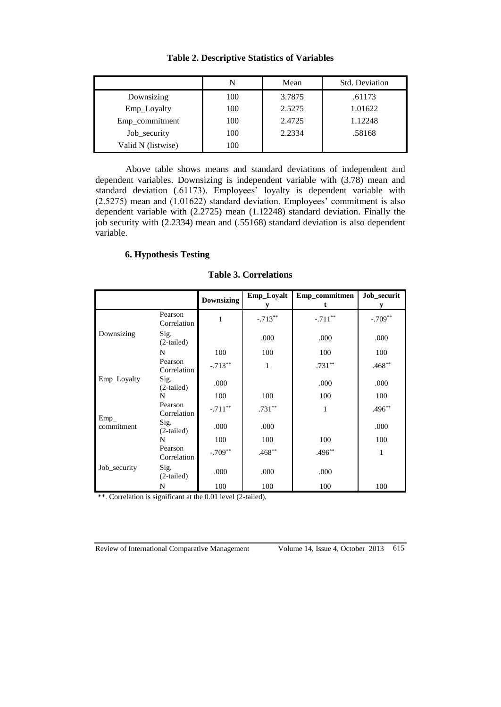|                    |     | Mean   | Std. Deviation |
|--------------------|-----|--------|----------------|
| Downsizing         | 100 | 3.7875 | .61173         |
| Emp_Loyalty        | 100 | 2.5275 | 1.01622        |
| Emp_commitment     | 100 | 2.4725 | 1.12248        |
| Job_security       | 100 | 2.2334 | .58168         |
| Valid N (listwise) | 100 |        |                |

**Table 2. Descriptive Statistics of Variables**

Above table shows means and standard deviations of independent and dependent variables. Downsizing is independent variable with (3.78) mean and standard deviation (.61173). Employees' loyalty is dependent variable with (2.5275) mean and (1.01622) standard deviation. Employees' commitment is also dependent variable with (2.2725) mean (1.12248) standard deviation. Finally the job security with (2.2334) mean and (.55168) standard deviation is also dependent variable.

# **6. Hypothesis Testing**

|              |                        | <b>Downsizing</b> | Emp_Loyalt | Emp_commitmen | Job_securit |
|--------------|------------------------|-------------------|------------|---------------|-------------|
|              | Pearson<br>Correlation | 1                 | $-.713**$  | $-.711**$     | $-.709**$   |
| Downsizing   | Sig.<br>$(2-tailed)$   |                   | .000       | .000          | .000        |
|              | N                      | 100               | 100        | 100           | 100         |
|              | Pearson<br>Correlation | $-.713**$         | 1          | $.731**$      | $.468**$    |
| Emp_Loyalty  | Sig.<br>$(2-tailed)$   | .000              |            | .000          | .000        |
|              | N                      | 100               | 100        | 100           | 100         |
| $Emp_$       | Pearson<br>Correlation | $-.711**$         | $.731***$  | 1             | $.496**$    |
| commitment   | Sig.<br>$(2-tailed)$   | .000              | .000       |               | .000        |
|              | N                      | 100               | 100        | 100           | 100         |
|              | Pearson<br>Correlation | $-.709**$         | $.468**$   | $.496**$      | 1           |
| Job_security | Sig.<br>$(2-tailed)$   | .000              | .000       | .000          |             |
|              | N                      | 100               | 100        | 100           | 100         |

#### **Table 3. Correlations**

\*\*. Correlation is significant at the 0.01 level (2-tailed).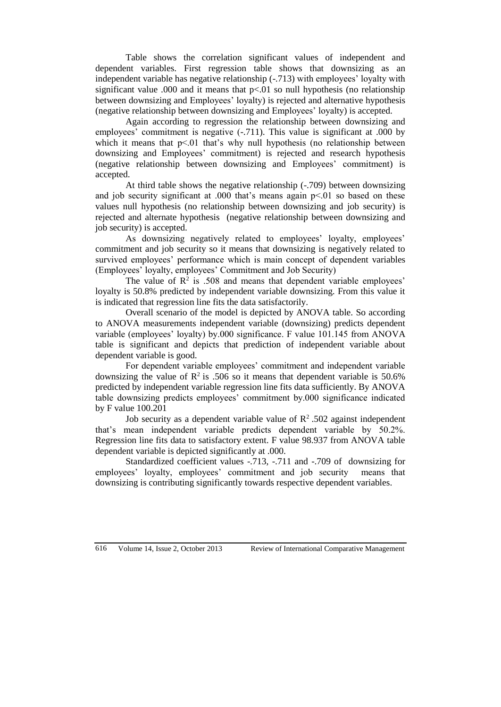Table shows the correlation significant values of independent and dependent variables. First regression table shows that downsizing as an independent variable has negative relationship (-.713) with employees' loyalty with significant value .000 and it means that  $p<0$  so null hypothesis (no relationship between downsizing and Employees' loyalty) is rejected and alternative hypothesis (negative relationship between downsizing and Employees' loyalty) is accepted.

Again according to regression the relationship between downsizing and employees' commitment is negative  $(-.711)$ . This value is significant at .000 by which it means that  $p<01$  that's why null hypothesis (no relationship between downsizing and Employees' commitment) is rejected and research hypothesis (negative relationship between downsizing and Employees' commitment) is accepted.

At third table shows the negative relationship (-.709) between downsizing and job security significant at .000 that's means again  $p<01$  so based on these values null hypothesis (no relationship between downsizing and job security) is rejected and alternate hypothesis (negative relationship between downsizing and job security) is accepted.

As downsizing negatively related to employees' loyalty, employees' commitment and job security so it means that downsizing is negatively related to survived employees' performance which is main concept of dependent variables (Employees' loyalty, employees' Commitment and Job Security)

The value of  $\mathbb{R}^2$  is .508 and means that dependent variable employees' loyalty is 50.8% predicted by independent variable downsizing. From this value it is indicated that regression line fits the data satisfactorily.

Overall scenario of the model is depicted by ANOVA table. So according to ANOVA measurements independent variable (downsizing) predicts dependent variable (employees' loyalty) by.000 significance. F value 101.145 from ANOVA table is significant and depicts that prediction of independent variable about dependent variable is good.

For dependent variable employees' commitment and independent variable downsizing the value of  $\mathbb{R}^2$  is .506 so it means that dependent variable is 50.6% predicted by independent variable regression line fits data sufficiently. By ANOVA table downsizing predicts employees' commitment by.000 significance indicated by F value 100.201

Job security as a dependent variable value of  $\mathbb{R}^2$ .502 against independent that's mean independent variable predicts dependent variable by 50.2%. Regression line fits data to satisfactory extent. F value 98.937 from ANOVA table dependent variable is depicted significantly at .000.

Standardized coefficient values -.713, -.711 and -.709 of downsizing for employees' loyalty, employees' commitment and job security means that downsizing is contributing significantly towards respective dependent variables.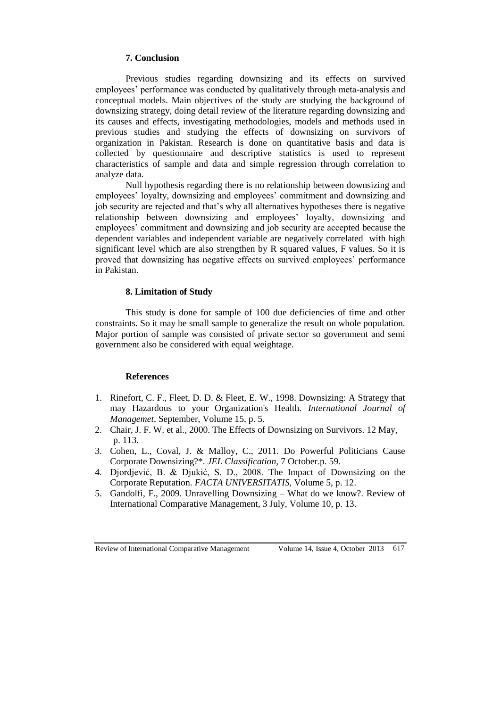# **7. Conclusion**

Previous studies regarding downsizing and its effects on survived employees' performance was conducted by qualitatively through meta-analysis and conceptual models. Main objectives of the study are studying the background of downsizing strategy, doing detail review of the literature regarding downsizing and its causes and effects, investigating methodologies, models and methods used in previous studies and studying the effects of downsizing on survivors of organization in Pakistan. Research is done on quantitative basis and data is collected by questionnaire and descriptive statistics is used to represent characteristics of sample and data and simple regression through correlation to analyze data.

Null hypothesis regarding there is no relationship between downsizing and employees' loyalty, downsizing and employees' commitment and downsizing and job security are rejected and that's why all alternatives hypotheses there is negative relationship between downsizing and employees' loyalty, downsizing and employees' commitment and downsizing and job security are accepted because the dependent variables and independent variable are negatively correlated with high significant level which are also strengthen by R squared values, F values. So it is proved that downsizing has negative effects on survived employees' performance in Pakistan.

# **8. Limitation of Study**

This study is done for sample of 100 due deficiencies of time and other constraints. So it may be small sample to generalize the result on whole population. Major portion of sample was consisted of private sector so government and semi government also be considered with equal weightage.

### **References**

- 1. Rinefort, C. F., Fleet, D. D. & Fleet, E. W., 1998. Downsizing: A Strategy that may Hazardous to your Organization's Health. *International Journal of Managemet,* September, Volume 15, p. 5.
- 2. Chair, J. F. W. et al., 2000. The Effects of Downsizing on Survivors. 12 May, p. 113.
- 3. Cohen, L., Coval, J. & Malloy, C., 2011. Do Powerful Politicians Cause Corporate Downsizing?\*. *JEL Classification,* 7 October.p. 59.
- 4. Djordjević, B. & Djukić, S. D., 2008. The Impact of Downsizing on the Corporate Reputation. *FACTA UNIVERSITATIS,* Volume 5, p. 12.
- 5. Gandolfi, F., 2009. Unravelling Downsizing What do we know?. Review of International Comparative Management, 3 July, Volume 10, p. 13.